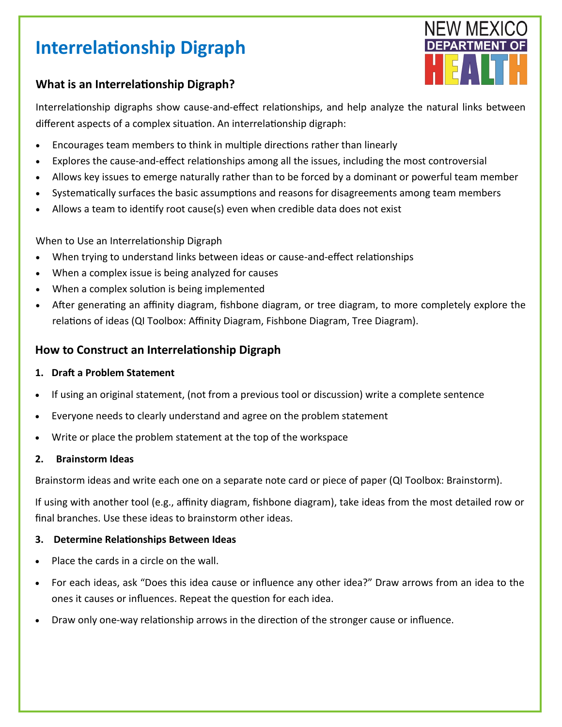# **Interrelationship Digraph**



# **What is an Interrelationship Digraph?**

Interrelationship digraphs show cause-and-effect relationships, and help analyze the natural links between different aspects of a complex situation. An interrelationship digraph:

- Encourages team members to think in multiple directions rather than linearly
- Explores the cause-and-effect relationships among all the issues, including the most controversial
- Allows key issues to emerge naturally rather than to be forced by a dominant or powerful team member
- Systematically surfaces the basic assumptions and reasons for disagreements among team members
- Allows a team to identify root cause(s) even when credible data does not exist

When to Use an Interrelationship Digraph

- When trying to understand links between ideas or cause-and-effect relationships
- When a complex issue is being analyzed for causes
- When a complex solution is being implemented
- After generating an affinity diagram, fishbone diagram, or tree diagram, to more completely explore the relations of ideas (QI Toolbox: Affinity Diagram, Fishbone Diagram, Tree Diagram).

# **How to Construct an Interrelationship Digraph**

### **1. Draft a Problem Statement**

- If using an original statement, (not from a previous tool or discussion) write a complete sentence
- Everyone needs to clearly understand and agree on the problem statement
- Write or place the problem statement at the top of the workspace

## **2. Brainstorm Ideas**

Brainstorm ideas and write each one on a separate note card or piece of paper (QI Toolbox: Brainstorm).

If using with another tool (e.g., affinity diagram, fishbone diagram), take ideas from the most detailed row or final branches. Use these ideas to brainstorm other ideas.

## **3. Determine Relationships Between Ideas**

- Place the cards in a circle on the wall.
- For each ideas, ask "Does this idea cause or influence any other idea?" Draw arrows from an idea to the ones it causes or influences. Repeat the question for each idea.
- Draw only one-way relationship arrows in the direction of the stronger cause or influence.